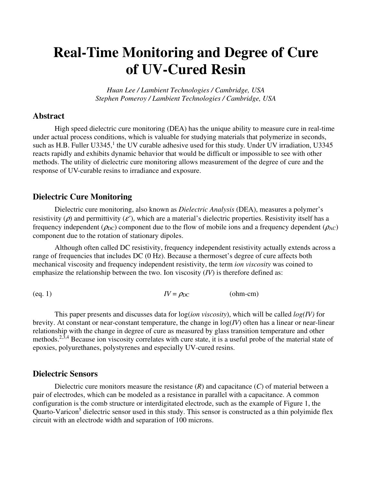# **Real-Time Monitoring and Degree of Cure of UV-Cured Resin**

*Huan Lee / Lambient Technologies / Cambridge, USA Stephen Pomeroy / Lambient Technologies / Cambridge, USA* 

## **Abstract**

High speed dielectric cure monitoring (DEA) has the unique ability to measure cure in real-time under actual process conditions, which is valuable for studying materials that polymerize in seconds, such as H.B. Fuller U3345,<sup>1</sup> the UV curable adhesive used for this study. Under UV irradiation, U3345 reacts rapidly and exhibits dynamic behavior that would be difficult or impossible to see with other methods. The utility of dielectric cure monitoring allows measurement of the degree of cure and the response of UV-curable resins to irradiance and exposure.

## **Dielectric Cure Monitoring**

Dielectric cure monitoring, also known as *Dielectric Analysis* (DEA), measures a polymer's resistivity ( $\rho$ ) and permittivity ( $\varepsilon'$ ), which are a material's dielectric properties. Resistivity itself has a frequency independent ( $\rho_{DC}$ ) component due to the flow of mobile ions and a frequency dependent ( $\rho_{AC}$ ) component due to the rotation of stationary dipoles.

Although often called DC resistivity, frequency independent resistivity actually extends across a range of frequencies that includes DC (0 Hz). Because a thermoset's degree of cure affects both mechanical viscosity and frequency independent resistivity, the term *ion viscosity* was coined to emphasize the relationship between the two. Ion viscosity (*IV*) is therefore defined as:

$$
(eq. 1) \tIV = \rho_{DC} \t(ohm-cm)
$$

This paper presents and discusses data for log(*ion viscosity*), which will be called *log(IV)* for brevity. At constant or near-constant temperature, the change in log(*IV*) often has a linear or near-linear relationship with the change in degree of cure as measured by glass transition temperature and other methods.2,3,4 Because ion viscosity correlates with cure state, it is a useful probe of the material state of epoxies, polyurethanes, polystyrenes and especially UV-cured resins.

#### **Dielectric Sensors**

Dielectric cure monitors measure the resistance  $(R)$  and capacitance  $(C)$  of material between a pair of electrodes, which can be modeled as a resistance in parallel with a capacitance. A common configuration is the comb structure or interdigitated electrode, such as the example of Figure 1, the Quarto-Varicon<sup>5</sup> dielectric sensor used in this study. This sensor is constructed as a thin polyimide flex circuit with an electrode width and separation of 100 microns.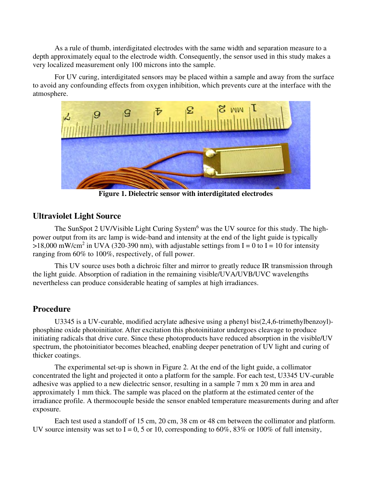As a rule of thumb, interdigitated electrodes with the same width and separation measure to a depth approximately equal to the electrode width. Consequently, the sensor used in this study makes a very localized measurement only 100 microns into the sample.

For UV curing, interdigitated sensors may be placed within a sample and away from the surface to avoid any confounding effects from oxygen inhibition, which prevents cure at the interface with the atmosphere.



**Figure 1. Dielectric sensor with interdigitated electrodes**

## **Ultraviolet Light Source**

The SunSpot 2 UV/Visible Light Curing System<sup>6</sup> was the UV source for this study. The highpower output from its arc lamp is wide-band and intensity at the end of the light guide is typically >18,000 mW/cm<sup>2</sup> in UVA (320-390 nm), with adjustable settings from I = 0 to I = 10 for intensity ranging from 60% to 100%, respectively, of full power.

This UV source uses both a dichroic filter and mirror to greatly reduce IR transmission through the light guide. Absorption of radiation in the remaining visible/UVA/UVB/UVC wavelengths nevertheless can produce considerable heating of samples at high irradiances.

# **Procedure**

U3345 is a UV-curable, modified acrylate adhesive using a phenyl bis(2,4,6-trimethylbenzoyl) phosphine oxide photoinitiator. After excitation this photoinitiator undergoes cleavage to produce initiating radicals that drive cure. Since these photoproducts have reduced absorption in the visible/UV spectrum, the photoinitiator becomes bleached, enabling deeper penetration of UV light and curing of thicker coatings.

The experimental set-up is shown in Figure 2. At the end of the light guide, a collimator concentrated the light and projected it onto a platform for the sample. For each test, U3345 UV-curable adhesive was applied to a new dielectric sensor, resulting in a sample 7 mm x 20 mm in area and approximately 1 mm thick. The sample was placed on the platform at the estimated center of the irradiance profile. A thermocouple beside the sensor enabled temperature measurements during and after exposure.

Each test used a standoff of 15 cm, 20 cm, 38 cm or 48 cm between the collimator and platform. UV source intensity was set to I = 0, 5 or 10, corresponding to 60%, 83% or 100% of full intensity,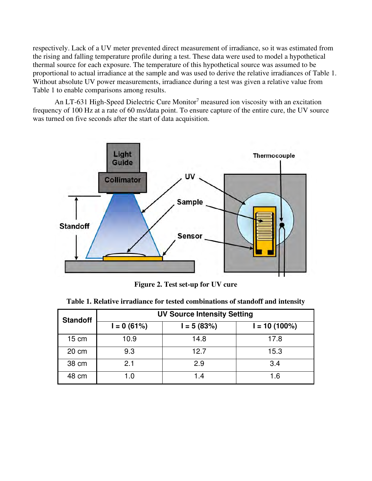respectively. Lack of a UV meter prevented direct measurement of irradiance, so it was estimated from the rising and falling temperature profile during a test. These data were used to model a hypothetical thermal source for each exposure. The temperature of this hypothetical source was assumed to be proportional to actual irradiance at the sample and was used to derive the relative irradiances of Table 1. Without absolute UV power measurements, irradiance during a test was given a relative value from Table 1 to enable comparisons among results.

An LT-631 High-Speed Dielectric Cure Monitor<sup>7</sup> measured ion viscosity with an excitation frequency of 100 Hz at a rate of 60 ms/data point. To ensure capture of the entire cure, the UV source was turned on five seconds after the start of data acquisition.



**Figure 2. Test set-up for UV cure** 

| <b>Standoff</b> | <b>UV Source Intensity Setting</b> |              |                 |  |  |  |
|-----------------|------------------------------------|--------------|-----------------|--|--|--|
|                 | $I = 0 (61%)$                      | $I = 5(83%)$ | $I = 10(100\%)$ |  |  |  |
| $15 \text{ cm}$ | 10.9                               | 14.8         | 17.8            |  |  |  |
| 20 cm           | 9.3                                | 12.7         | 15.3            |  |  |  |
| 38 cm           | 2.1                                | 2.9          | 3.4             |  |  |  |
| 48 cm           | 1.0                                | 1.4          | 1.6             |  |  |  |

|  |  |  |  | Table 1. Relative irradiance for tested combinations of standoff and intensity |  |  |
|--|--|--|--|--------------------------------------------------------------------------------|--|--|
|--|--|--|--|--------------------------------------------------------------------------------|--|--|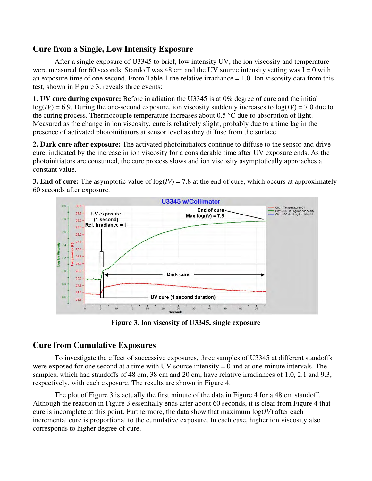## **Cure from a Single, Low Intensity Exposure**

After a single exposure of U3345 to brief, low intensity UV, the ion viscosity and temperature were measured for 60 seconds. Standoff was 48 cm and the UV source intensity setting was  $I = 0$  with an exposure time of one second. From Table 1 the relative irradiance  $= 1.0$ . Ion viscosity data from this test, shown in Figure 3, reveals three events:

**1. UV cure during exposure:** Before irradiation the U3345 is at 0% degree of cure and the initial  $log(IV) = 6.9$ . During the one-second exposure, ion viscosity suddenly increases to  $log(IV) = 7.0$  due to the curing process. Thermocouple temperature increases about 0.5 °C due to absorption of light. Measured as the change in ion viscosity, cure is relatively slight, probably due to a time lag in the presence of activated photoinitiators at sensor level as they diffuse from the surface.

**2. Dark cure after exposure:** The activated photoinitiators continue to diffuse to the sensor and drive cure, indicated by the increase in ion viscosity for a considerable time after UV exposure ends. As the photoinitiators are consumed, the cure process slows and ion viscosity asymptotically approaches a constant value.

**3. End of cure:** The asymptotic value of  $log(V) = 7.8$  at the end of cure, which occurs at approximately 60 seconds after exposure.



**Figure 3. Ion viscosity of U3345, single exposure**

# **Cure from Cumulative Exposures**

To investigate the effect of successive exposures, three samples of U3345 at different standoffs were exposed for one second at a time with UV source intensity  $= 0$  and at one-minute intervals. The samples, which had standoffs of 48 cm, 38 cm and 20 cm, have relative irradiances of 1.0, 2.1 and 9.3, respectively, with each exposure. The results are shown in Figure 4.

 The plot of Figure 3 is actually the first minute of the data in Figure 4 for a 48 cm standoff. Although the reaction in Figure 3 essentially ends after about 60 seconds, it is clear from Figure 4 that cure is incomplete at this point. Furthermore, the data show that maximum  $log(IV)$  after each incremental cure is proportional to the cumulative exposure. In each case, higher ion viscosity also corresponds to higher degree of cure.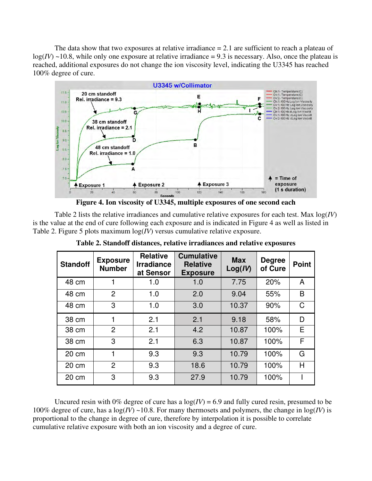The data show that two exposures at relative irradiance  $= 2.1$  are sufficient to reach a plateau of  $log(V) \sim 10.8$ , while only one exposure at relative irradiance = 9.3 is necessary. Also, once the plateau is reached, additional exposures do not change the ion viscosity level, indicating the U3345 has reached 100% degree of cure.



**Figure 4. Ion viscosity of U3345, multiple exposures of one second each** 

Table 2 lists the relative irradiances and cumulative relative exposures for each test. Max log(*IV*) is the value at the end of cure following each exposure and is indicated in Figure 4 as well as listed in Table 2. Figure 5 plots maximum log(*IV*) versus cumulative relative exposure.

| <b>Standoff</b> | <b>Exposure</b><br><b>Number</b> | <b>Relative</b><br><b>Irradiance</b><br>at Sensor | <b>Cumulative</b><br><b>Relative</b><br><b>Exposure</b> | <b>Max</b><br>Log(IV) | <b>Degree</b><br>of Cure | <b>Point</b> |
|-----------------|----------------------------------|---------------------------------------------------|---------------------------------------------------------|-----------------------|--------------------------|--------------|
| 48 cm           |                                  | 1.0                                               | 1.0                                                     | 7.75                  | 20%                      | A            |
| 48 cm           | $\overline{2}$                   | 1.0                                               | 2.0                                                     | 9.04                  | 55%                      | B            |
| 48 cm           | 3                                | 1.0                                               | 3.0                                                     | 10.37                 | 90%                      | C            |
| 38 cm           | 1                                | 2.1                                               | 2.1                                                     | 9.18                  | 58%                      | D            |
| 38 cm           | $\overline{2}$                   | 2.1                                               | 4.2                                                     | 10.87                 | 100%                     | Е            |
| 38 cm           | 3                                | 2.1                                               | 6.3                                                     | 10.87                 | 100%                     | F            |
| 20 cm           | 1                                | 9.3                                               | 9.3                                                     | 10.79                 | 100%                     | G            |
| 20 cm           | $\overline{2}$                   | 9.3                                               | 18.6                                                    | 10.79                 | 100%                     | H            |
| 20 cm           | 3                                | 9.3                                               | 27.9                                                    | 10.79                 | 100%                     |              |

**Table 2. Standoff distances, relative irradiances and relative exposures** 

Uncured resin with 0% degree of cure has a  $log(IV) = 6.9$  and fully cured resin, presumed to be 100% degree of cure, has a  $log(IV) \sim 10.8$ . For many thermosets and polymers, the change in  $log(IV)$  is proportional to the change in degree of cure, therefore by interpolation it is possible to correlate cumulative relative exposure with both an ion viscosity and a degree of cure.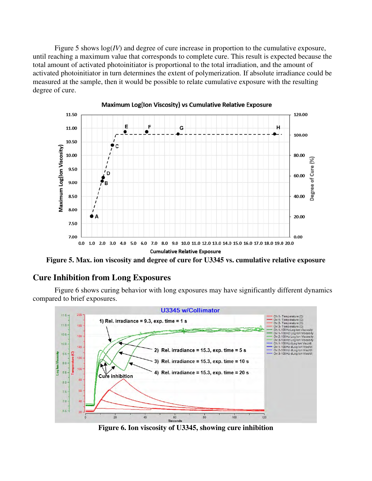Figure 5 shows log(*IV*) and degree of cure increase in proportion to the cumulative exposure, until reaching a maximum value that corresponds to complete cure. This result is expected because the total amount of activated photoinitiator is proportional to the total irradiation, and the amount of activated photoinitiator in turn determines the extent of polymerization. If absolute irradiance could be measured at the sample, then it would be possible to relate cumulative exposure with the resulting degree of cure.



Maximum Log(Ion Viscosity) vs Cumulative Relative Exposure

**Figure 5. Max. ion viscosity and degree of cure for U3345 vs. cumulative relative exposure** 

## **Cure Inhibition from Long Exposures**

 Figure 6 shows curing behavior with long exposures may have significantly different dynamics compared to brief exposures.



**Figure 6. Ion viscosity of U3345, showing cure inhibition**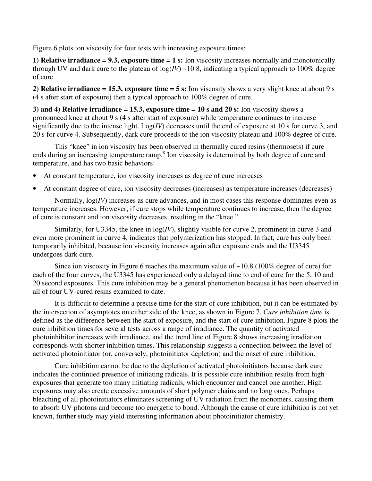Figure 6 plots ion viscosity for four tests with increasing exposure times:

**1) Relative irradiance = 9.3, exposure time = 1 s:** Ion viscosity increases normally and monotonically through UV and dark cure to the plateau of  $log(IV) \sim 10.8$ , indicating a typical approach to 100% degree of cure.

**2) Relative irradiance = 15.3, exposure time = 5 s:** Ion viscosity shows a very slight knee at about 9 s (4 s after start of exposure) then a typical approach to 100% degree of cure.

**3) and 4) Relative irradiance = 15.3, exposure time = 10 s and 20 s:** Ion viscosity shows a pronounced knee at about 9 s (4 s after start of exposure) while temperature continues to increase significantly due to the intense light. Log(*IV*) decreases until the end of exposure at 10 s for curve 3, and 20 s for curve 4. Subsequently, dark cure proceeds to the ion viscosity plateau and 100% degree of cure.

This "knee" in ion viscosity has been observed in thermally cured resins (thermosets) if cure ends during an increasing temperature ramp.<sup>8</sup> Ion viscosity is determined by both degree of cure and temperature, and has two basic behaviors:

- At constant temperature, ion viscosity increases as degree of cure increases
- At constant degree of cure, ion viscosity decreases (increases) as temperature increases (decreases)

Normally, log(*IV*) increases as cure advances, and in most cases this response dominates even as temperature increases. However, if cure stops while temperature continues to increase, then the degree of cure is constant and ion viscosity decreases, resulting in the "knee."

Similarly, for U3345, the knee in log(*IV*), slightly visible for curve 2, prominent in curve 3 and even more prominent in curve 4, indicates that polymerization has stopped. In fact, cure has only been temporarily inhibited, because ion viscosity increases again after exposure ends and the U3345 undergoes dark cure.

Since ion viscosity in Figure 6 reaches the maximum value of  $\sim$ 10.8 (100% degree of cure) for each of the four curves, the U3345 has experienced only a delayed time to end of cure for the 5, 10 and 20 second exposures. This cure inhibition may be a general phenomenon because it has been observed in all of four UV-cured resins examined to date.

It is difficult to determine a precise time for the start of cure inhibition, but it can be estimated by the intersection of asymptotes on either side of the knee, as shown in Figure 7. *Cure inhibition time* is defined as the difference between the start of exposure, and the start of cure inhibition. Figure 8 plots the cure inhibition times for several tests across a range of irradiance. The quantity of activated photoinhibitor increases with irradiance, and the trend line of Figure 8 shows increasing irradiation corresponds with shorter inhibition times. This relationship suggests a connection between the level of activated photoinitiator (or, conversely, photoinitiator depletion) and the onset of cure inhibition.

 Cure inhibition cannot be due to the depletion of activated photoinitiators because dark cure indicates the continued presence of initiating radicals. It is possible cure inhibition results from high exposures that generate too many initiating radicals, which encounter and cancel one another. High exposures may also create excessive amounts of short polymer chains and no long ones. Perhaps bleaching of all photoinitiators eliminates screening of UV radiation from the monomers, causing them to absorb UV photons and become too energetic to bond. Although the cause of cure inhibition is not yet known, further study may yield interesting information about photoinitiator chemistry.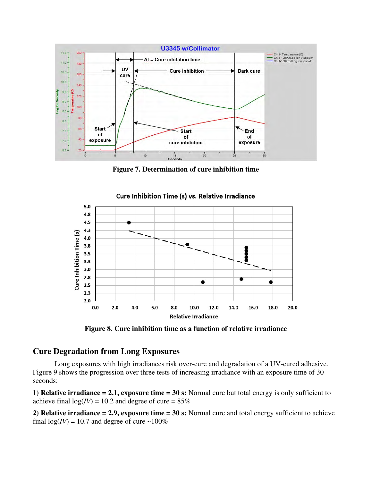

**Figure 7. Determination of cure inhibition time** 



Cure Inhibition Time (s) vs. Relative Irradiance

**Figure 8. Cure inhibition time as a function of relative irradiance** 

## **Cure Degradation from Long Exposures**

 Long exposures with high irradiances risk over-cure and degradation of a UV-cured adhesive. Figure 9 shows the progression over three tests of increasing irradiance with an exposure time of 30 seconds:

**1) Relative irradiance = 2.1, exposure time = 30 s:** Normal cure but total energy is only sufficient to achieve final  $log(V) = 10.2$  and degree of cure =  $85\%$ 

**2) Relative irradiance = 2.9, exposure time = 30 s:** Normal cure and total energy sufficient to achieve final  $log(V) = 10.7$  and degree of cure  $\sim 100\%$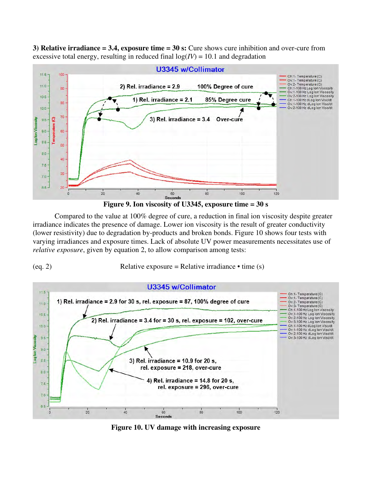**3) Relative irradiance = 3.4, exposure time = 30 s:** Cure shows cure inhibition and over-cure from excessive total energy, resulting in reduced final  $log(IV) = 10.1$  and degradation



**Figure 9. Ion viscosity of U3345, exposure time = 30 s** 

 Compared to the value at 100% degree of cure, a reduction in final ion viscosity despite greater irradiance indicates the presence of damage. Lower ion viscosity is the result of greater conductivity (lower resistivity) due to degradation by-products and broken bonds. Figure 10 shows four tests with varying irradiances and exposure times. Lack of absolute UV power measurements necessitates use of *relative exposure*, given by equation 2, to allow comparison among tests:

(eq. 2) Relative exposure = Relative irradiance  $\bullet$  time (s)



**Figure 10. UV damage with increasing exposure**